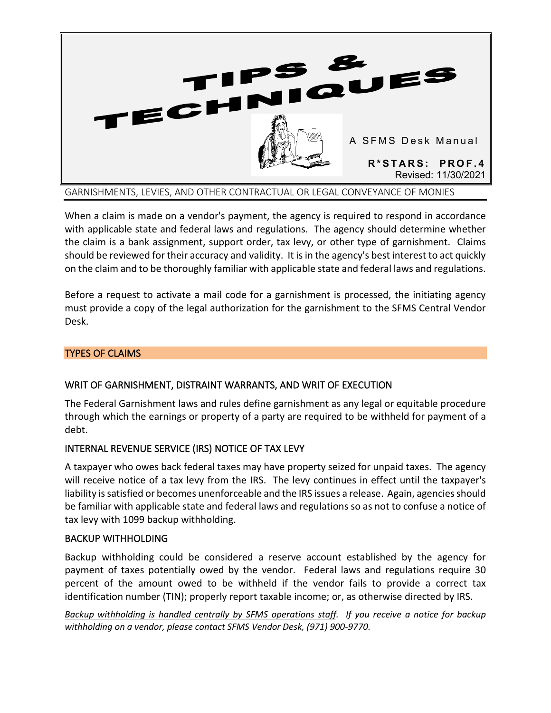

When a claim is made on a vendor's payment, the agency is required to respond in accordance with applicable state and federal laws and regulations. The agency should determine whether the claim is a bank assignment, support order, tax levy, or other type of garnishment. Claims should be reviewed for their accuracy and validity. It is in the agency's best interest to act quickly on the claim and to be thoroughly familiar with applicable state and federal laws and regulations.

Before a request to activate a mail code for a garnishment is processed, the initiating agency must provide a copy of the legal authorization for the garnishment to the SFMS Central Vendor Desk.

# TYPES OF CLAIMS

# WRIT OF GARNISHMENT, DISTRAINT WARRANTS, AND WRIT OF EXECUTION

The Federal Garnishment laws and rules define garnishment as any legal or equitable procedure through which the earnings or property of a party are required to be withheld for payment of a debt.

## INTERNAL REVENUE SERVICE (IRS) NOTICE OF TAX LEVY

A taxpayer who owes back federal taxes may have property seized for unpaid taxes. The agency will receive notice of a tax levy from the IRS. The levy continues in effect until the taxpayer's liability is satisfied or becomes unenforceable and the IRS issues a release. Again, agencies should be familiar with applicable state and federal laws and regulations so as not to confuse a notice of tax levy with 1099 backup withholding.

## BACKUP WITHHOLDING

Backup withholding could be considered a reserve account established by the agency for payment of taxes potentially owed by the vendor. Federal laws and regulations require 30 percent of the amount owed to be withheld if the vendor fails to provide a correct tax identification number (TIN); properly report taxable income; or, as otherwise directed by IRS.

*Backup withholding is handled centrally by SFMS operations staff. If you receive a notice for backup withholding on a vendor, please contact SFMS Vendor Desk, (971) 900-9770.*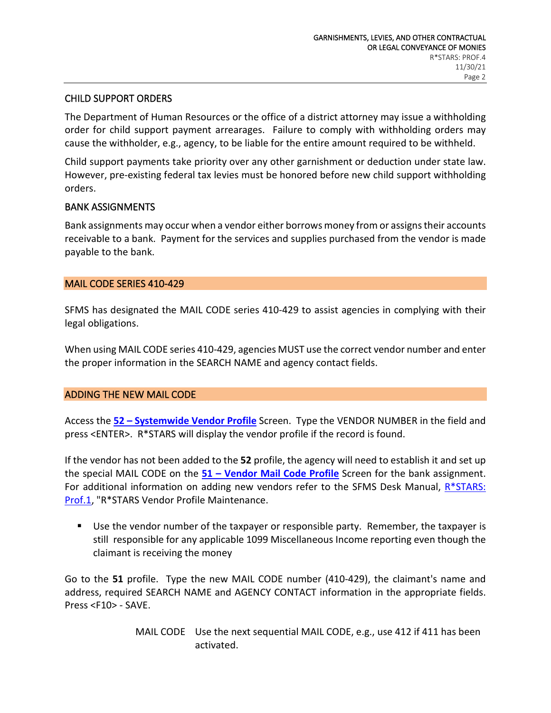## CHILD SUPPORT ORDERS

The Department of Human Resources or the office of a district attorney may issue a withholding order for child support payment arrearages. Failure to comply with withholding orders may cause the withholder, e.g., agency, to be liable for the entire amount required to be withheld.

Child support payments take priority over any other garnishment or deduction under state law. However, pre-existing federal tax levies must be honored before new child support withholding orders.

### BANK ASSIGNMENTS

Bank assignments may occur when a vendor either borrows money from or assigns their accounts receivable to a bank. Payment for the services and supplies purchased from the vendor is made payable to the bank.

### MAIL CODE SERIES 410-429

SFMS has designated the MAIL CODE series 410-429 to assist agencies in complying with their legal obligations.

When using MAIL CODE series 410-429, agencies MUST use the correct vendor number and enter the proper information in the SEARCH NAME and agency contact fields.

#### ADDING THE NEW MAIL CODE

Access the **52 – [Systemwide Vendor Profile](http://www.oregon.gov/DAS/EGS/FBS/SFMS/docs/publications/data_entry_guide/chapter_6_non_descriptive_profiles.html#_Toc188258600)** Screen. Type the VENDOR NUMBER in the field and press <ENTER>. R\*STARS will display the vendor profile if the record is found.

If the vendor has not been added to the **52** profile, the agency will need to establish it and set up the special MAIL CODE on the **51 – [Vendor Mail Code Profile](http://www.oregon.gov/DAS/EGS/FBS/SFMS/docs/publications/data_entry_guide/chapter_6_non_descriptive_profiles.html#_Toc188258599)** Screen for the bank assignment. For additional information on adding new vendors refer to the SFMS Desk Manual, [R\\*STARS:](http://www.oregon.gov/DAS/EGS/FBS/SFMS/docs/publications/desk_manual/prof4.pdf)  [Prof.1,](http://www.oregon.gov/DAS/EGS/FBS/SFMS/docs/publications/desk_manual/prof4.pdf) "R\*STARS Vendor Profile Maintenance.

 Use the vendor number of the taxpayer or responsible party. Remember, the taxpayer is still responsible for any applicable 1099 Miscellaneous Income reporting even though the claimant is receiving the money

Go to the **51** profile. Type the new MAIL CODE number (410-429), the claimant's name and address, required SEARCH NAME and AGENCY CONTACT information in the appropriate fields. Press <F10> - SAVE.

> MAIL CODE Use the next sequential MAIL CODE, e.g., use 412 if 411 has been activated.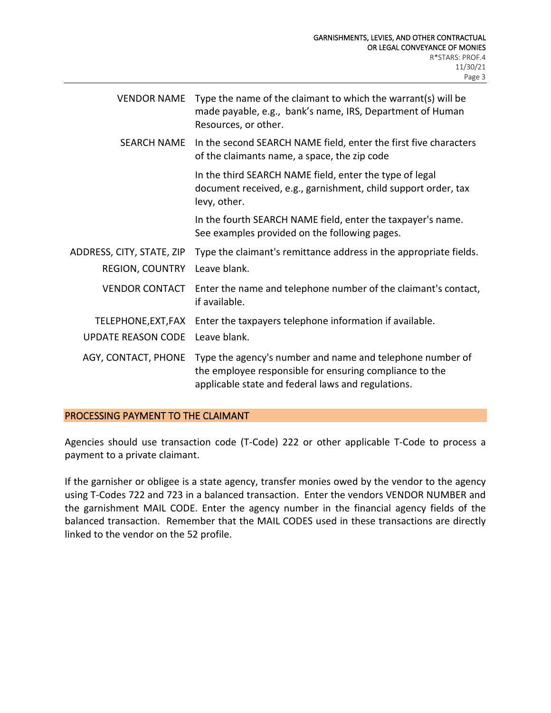| <b>VENDOR NAME</b>                                  | Type the name of the claimant to which the warrant(s) will be<br>made payable, e.g., bank's name, IRS, Department of Human<br>Resources, or other.                         |
|-----------------------------------------------------|----------------------------------------------------------------------------------------------------------------------------------------------------------------------------|
| <b>SEARCH NAME</b>                                  | In the second SEARCH NAME field, enter the first five characters<br>of the claimants name, a space, the zip code                                                           |
|                                                     | In the third SEARCH NAME field, enter the type of legal<br>document received, e.g., garnishment, child support order, tax<br>levy, other.                                  |
|                                                     | In the fourth SEARCH NAME field, enter the taxpayer's name.<br>See examples provided on the following pages.                                                               |
| ADDRESS, CITY, STATE, ZIP<br><b>REGION, COUNTRY</b> | Type the claimant's remittance address in the appropriate fields.<br>Leave blank.                                                                                          |
| <b>VENDOR CONTACT</b>                               | Enter the name and telephone number of the claimant's contact,<br>if available.                                                                                            |
| TELEPHONE, EXT, FAX<br><b>UPDATE REASON CODE</b>    | Enter the taxpayers telephone information if available.<br>Leave blank.                                                                                                    |
| AGY, CONTACT, PHONE                                 | Type the agency's number and name and telephone number of<br>the employee responsible for ensuring compliance to the<br>applicable state and federal laws and regulations. |

## PROCESSING PAYMENT TO THE CLAIMANT

Agencies should use transaction code (T-Code) 222 or other applicable T-Code to process a payment to a private claimant.

If the garnisher or obligee is a state agency, transfer monies owed by the vendor to the agency using T-Codes 722 and 723 in a balanced transaction. Enter the vendors VENDOR NUMBER and the garnishment MAIL CODE. Enter the agency number in the financial agency fields of the balanced transaction. Remember that the MAIL CODES used in these transactions are directly linked to the vendor on the 52 profile.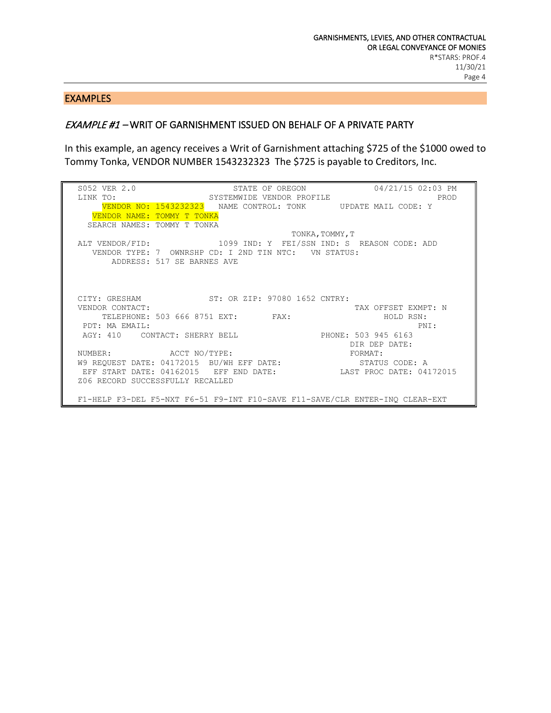#### EXAMPLES

## EXAMPLE #1 – WRIT OF GARNISHMENT ISSUED ON BEHALF OF A PRIVATE PARTY

In this example, an agency receives a Writ of Garnishment attaching \$725 of the \$1000 owed to Tommy Tonka, VENDOR NUMBER 1543232323 The \$725 is payable to Creditors, Inc.

SO52 VER 2.0 STATE OF OREGON 04/21/15 02:03 PM<br>LINK TO: SYSTEMWIDE VENDOR PROFILE PROD SYSTEMWIDE VENDOR PROFILE VENDOR NO: 1543232323 NAME CONTROL: TONK UPDATE MAIL CODE: Y VENDOR NAME: TOMMY T TONKA SEARCH NAMES: TOMMY T TONKA TONKA,TOMMY,T<br>ALT VENDOR/FID: 1099 IND: Y FEI/SSN IND: S 1099 IND: Y FEI/SSN IND: S REASON CODE: ADD VENDOR TYPE: 7 OWNRSHP CD: I 2ND TIN NTC: VN STATUS: ADDRESS: 517 SE BARNES AVE CITY: GRESHAM ST: OR ZIP: 97080 1652 CNTRY:<br>VENDOR CONTACT: TAX OFFSET EXMPT: N<br>HOLD RSN: TELEPHONE: 503 666 8751 EXT: FAX: FAX: HOLD RSN: HOLD RSN: PDT: MA EMAIL:<br>AGY: 410 CONTACT: SHERRY BELL PHONE: 503 945 6163 AGY: 410 CONTACT: SHERRY BELL NUMBER: ACCT NO/TYPE: DIR DEP DATE: NUMBER: ACCT NO/TYPE: FORMAT: W9 REQUEST DATE: 04172015 BU/WH EFF DATE: STATUS CODE: A EFF START DATE: 04162015 EFF END DATE: LAST PROC DATE: 04172015 Z06 RECORD SUCCESSFULLY RECALLED F1-HELP F3-DEL F5-NXT F6-51 F9-INT F10-SAVE F11-SAVE/CLR ENTER-INQ CLEAR-EXT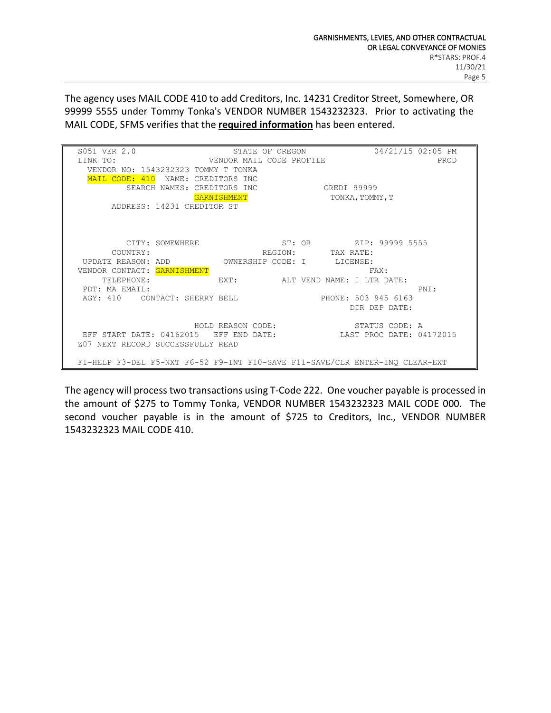The agency uses MAIL CODE 410 to add Creditors, Inc. 14231 Creditor Street, Somewhere, OR 99999 5555 under Tommy Tonka's VENDOR NUMBER 1543232323. Prior to activating the MAIL CODE, SFMS verifies that the **required information** has been entered.

| S051 VER 2.0                                                             | STATE OF OREGON                                                              |                            | 04/21/15 02:05 PM      |  |  |
|--------------------------------------------------------------------------|------------------------------------------------------------------------------|----------------------------|------------------------|--|--|
| LINK TO:                                                                 | VENDOR MAIL CODE PROFILE                                                     |                            | PROD                   |  |  |
|                                                                          | VENDOR NO: 1543232323 TOMMY T TONKA                                          |                            |                        |  |  |
| MAIL CODE: 410                                                           | NAME: CREDITORS INC                                                          |                            |                        |  |  |
|                                                                          | SEARCH NAMES: CREDITORS INC                                                  | CREDI 99999                |                        |  |  |
|                                                                          | <b>GARNISHMENT</b>                                                           |                            | TONKA, TOMMY, T        |  |  |
|                                                                          | ADDRESS: 14231 CREDITOR ST                                                   |                            |                        |  |  |
|                                                                          |                                                                              |                            |                        |  |  |
|                                                                          |                                                                              |                            |                        |  |  |
|                                                                          |                                                                              |                            |                        |  |  |
|                                                                          | CITY: SOMEWHERE                                                              |                            | ST: OR ZIP: 99999 5555 |  |  |
| COUNTRY:                                                                 |                                                                              | REGION:<br>TAX RATE:       |                        |  |  |
| UPDATE REASON: ADD                                                       | OWNERSHIP CODE: I                                                            |                            | LICENSE:               |  |  |
| VENDOR CONTACT:                                                          | GARNISHMENT                                                                  |                            | FAX:                   |  |  |
| TELEPHONE:                                                               | EXT:                                                                         | ALT VEND NAME: I LTR DATE: |                        |  |  |
| PDT: MA EMAIL:                                                           |                                                                              |                            | PNI:                   |  |  |
|                                                                          | AGY: 410 CONTACT: SHERRY BELL                                                |                            | PHONE: 503 945 6163    |  |  |
|                                                                          |                                                                              |                            | DIR DEP DATE:          |  |  |
|                                                                          |                                                                              |                            |                        |  |  |
|                                                                          | HOLD REASON CODE:                                                            |                            | STATUS CODE: A         |  |  |
| START DATE: 04162015<br>LAST PROC DATE: 04172015<br>EFF END DATE:<br>EFF |                                                                              |                            |                        |  |  |
| Z07 NEXT RECORD SUCCESSFULLY READ                                        |                                                                              |                            |                        |  |  |
|                                                                          |                                                                              |                            |                        |  |  |
|                                                                          | F1-HELP F3-DEL F5-NXT F6-52 F9-INT F10-SAVE F11-SAVE/CLR ENTER-INO CLEAR-EXT |                            |                        |  |  |

The agency will process two transactions using T-Code 222. One voucher payable is processed in the amount of \$275 to Tommy Tonka, VENDOR NUMBER 1543232323 MAIL CODE 000. The second voucher payable is in the amount of \$725 to Creditors, Inc., VENDOR NUMBER 1543232323 MAIL CODE 410.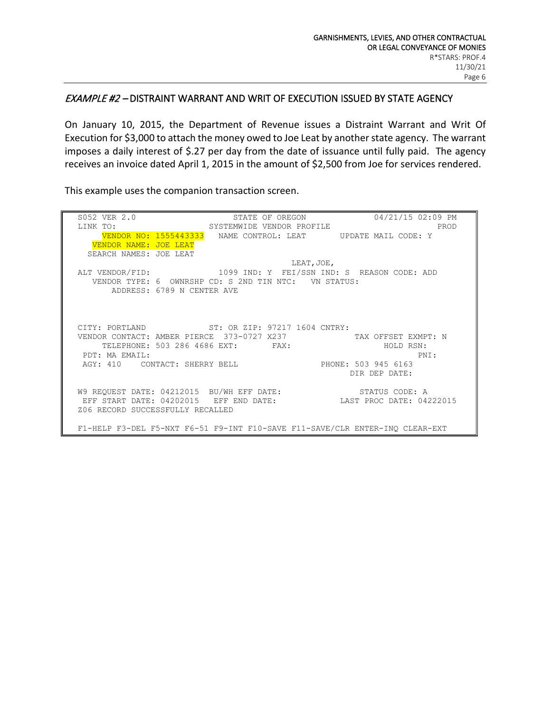#### EXAMPLE #2 – DISTRAINT WARRANT AND WRIT OF EXECUTION ISSUED BY STATE AGENCY

On January 10, 2015, the Department of Revenue issues a Distraint Warrant and Writ Of Execution for \$3,000 to attach the money owed to Joe Leat by another state agency. The warrant imposes a daily interest of \$.27 per day from the date of issuance until fully paid. The agency receives an invoice dated April 1, 2015 in the amount of \$2,500 from Joe for services rendered.

This example uses the companion transaction screen.

SO52 VER 2.0 STATE OF OREGON 04/21/15 02:09 PM<br>LINK TO: SYSTEMWIDE VENDOR PROFILE PROD SYSTEMWIDE VENDOR PROFILE VENDOR NO: 1555443333 NAME CONTROL: LEAT UPDATE MAIL CODE: Y VENDOR NAME: JOE LEAT SEARCH NAMES: JOE LEAT  $\text{LEAT}$ , JOE, ALT VENDOR/FID: 1099 IND: Y FEI/SSN IND: S REASON CODE: ADD VENDOR TYPE: 6 OWNRSHP CD: S 2ND TIN NTC: VN STATUS: ADDRESS: 6789 N CENTER AVE CITY: PORTLAND ST: OR ZIP: 97217 1604 CNTRY:<br>VENDOR CONTACT: AMBER PIERCE 373-0727 X237 VENDOR CONTACT: AMBER PIERCE 373-0727 X237 TAX OFFSET EXMPT: N<br>TELEPHONE: 503 286 4686 EXT: FAX: HOLD RSN: TELEPHONE: 503 286 4686 EXT: FAX: FAX: HOLD RSN: PDT: MA EMAIL: PNI: PDT: MA EMAIL: PNI: PHIS AGY: 410 CONTACT: SHERRY BELL PHONE: 503 945 6163 DIR DEP DATE: W9 REQUEST DATE: 04212015 BU/WH EFF DATE: STATUS CODE: A EFF START DATE: 04202015 EFF END DATE: LAST PROC DATE: 04222015 Z06 RECORD SUCCESSFULLY RECALLED F1-HELP F3-DEL F5-NXT F6-51 F9-INT F10-SAVE F11-SAVE/CLR ENTER-INQ CLEAR-EXT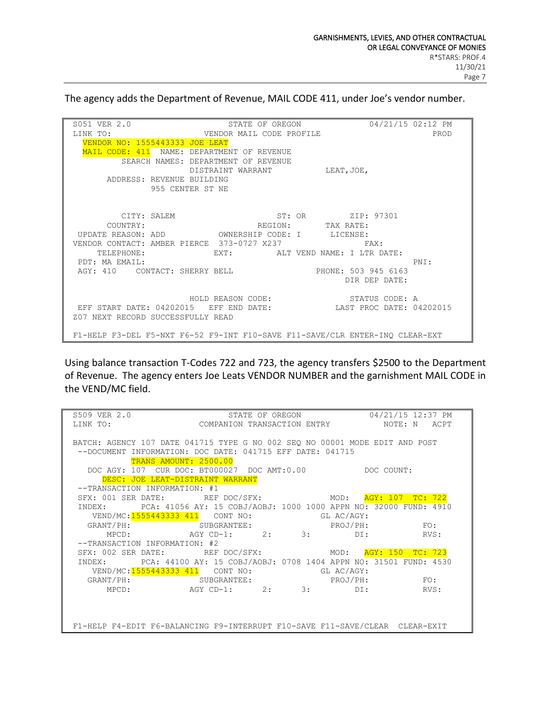The agency adds the Department of Revenue, MAIL CODE 411, under Joe's vendor number.

SO51 VER 2.0 STATE OF OREGON 04/21/15 02:12 PM<br>LINK TO: STATE OF PROFILE DATE ON DENOTOR MAIL CODE PROFILE VENDOR MAIL CODE PROFILE VENDOR NO: 1555443333 JOE LEAT MAIL CODE: 411 NAME: DEPARTMENT OF REVENUE SEARCH NAMES: DEPARTMENT OF REVENUE DISTRAINT WARRANT LEAT, JOE, ADDRESS: REVENUE BUILDING 955 CENTER ST NE CITY: SALEM ST: OR ZIP: 97301<br>COUNTRY: TAX RATE: COUNTRY: TAX RATE: UPDATE REASON: ADD OWNERSHIP CODE: I LICENSE: VENDOR CONTACT: AMBER PIERCE 373-0727 X237 FAX: TELEPHONE: EXT: ALT VEND NAME: I LTR DATE: PDT: MA EMAIL: PDT: MA EMAIL: PNI: AGY: 410 CONTACT: SHERRY BELL PHONE: 503 945 6163 DIR DEP DATE: HOLD REASON CODE: STATUS CODE: A EFF START DATE: 04202015 EFF END DATE: LAST PROC DATE: 04202015 Z07 NEXT RECORD SUCCESSFULLY READ F1-HELP F3-DEL F5-NXT F6-52 F9-INT F10-SAVE F11-SAVE/CLR ENTER-INQ CLEAR-EXT

Using balance transaction T-Codes 722 and 723, the agency transfers \$2500 to the Department of Revenue. The agency enters Joe Leats VENDOR NUMBER and the garnishment MAIL CODE in the VEND/MC field.

| S509 VER 2.0                                                                 |                                                                                   | STATE OF OREGON |  | 04/21/15 12:37 PM |      |
|------------------------------------------------------------------------------|-----------------------------------------------------------------------------------|-----------------|--|-------------------|------|
| LINK TO:                                                                     | 2.0 STATE OF OREGON U4/21/15 12:3/ PM<br>COMPANION TRANSACTION ENTRY NOTE: N ACPT |                 |  |                   |      |
|                                                                              |                                                                                   |                 |  |                   |      |
| BATCH: AGENCY 107 DATE 041715 TYPE G NO 002 SEQ NO 00001 MODE EDIT AND POST  |                                                                                   |                 |  |                   |      |
|                                                                              | --DOCUMENT INFORMATION: DOC DATE: 041715 EFF DATE: 041715                         |                 |  |                   |      |
|                                                                              | TRANS AMOUNT: 2500.00                                                             |                 |  |                   |      |
|                                                                              | DOC AGY: 107 CUR DOC: BT000027 DOC AMT:0.00 DOC COUNT:                            |                 |  |                   |      |
|                                                                              | DESC: JOE LEAT-DISTRAINT WARRANT                                                  |                 |  |                   |      |
| --TRANSACTION INFORMATION: #1                                                |                                                                                   |                 |  |                   |      |
|                                                                              | SFX: 001 SER DATE: REF DOC/SFX: MOD:                                              |                 |  | AGY: 107 TC: 722  |      |
|                                                                              | INDEX: PCA: 41056 AY: 15 COBJ/AOBJ: 1000 1000 APPN NO: 32000 FUND: 4910           |                 |  |                   |      |
|                                                                              | VEND/MC: 1555443333 411 CONT NO: GL AC/AGY:                                       |                 |  |                   |      |
|                                                                              | GRANT/PH:<br>MPCD: AGY CD-1: 2: 3: DI:                                            |                 |  | PROJ/PH: FO:      |      |
|                                                                              |                                                                                   |                 |  |                   | RVS: |
| --TRANSACTION INFORMATION: #2                                                |                                                                                   |                 |  |                   |      |
|                                                                              | SFX: 002 SER DATE: REF DOC/SFX: MOD:                                              |                 |  | AGY: 150 TC: 723  |      |
| INDEX:                                                                       | PCA: 44100 AY: 15 COBJ/AOBJ: 0708 1404 APPN NO: 31501 FUND: 4530                  |                 |  |                   |      |
|                                                                              | VEND/MC: $1555443333$ 411 CONT NO: GL AC/AGY:                                     |                 |  |                   |      |
|                                                                              |                                                                                   |                 |  | PROJ/PH: FO:      |      |
|                                                                              | GRANT/PH:<br>MPCD: AGY CD-1: 2: 3: DI:                                            |                 |  | RVS:              |      |
|                                                                              |                                                                                   |                 |  |                   |      |
|                                                                              |                                                                                   |                 |  |                   |      |
|                                                                              |                                                                                   |                 |  |                   |      |
| F1-HELP F4-EDIT F6-BALANCING F9-INTERRUPT F10-SAVE F11-SAVE/CLEAR CLEAR-EXIT |                                                                                   |                 |  |                   |      |
|                                                                              |                                                                                   |                 |  |                   |      |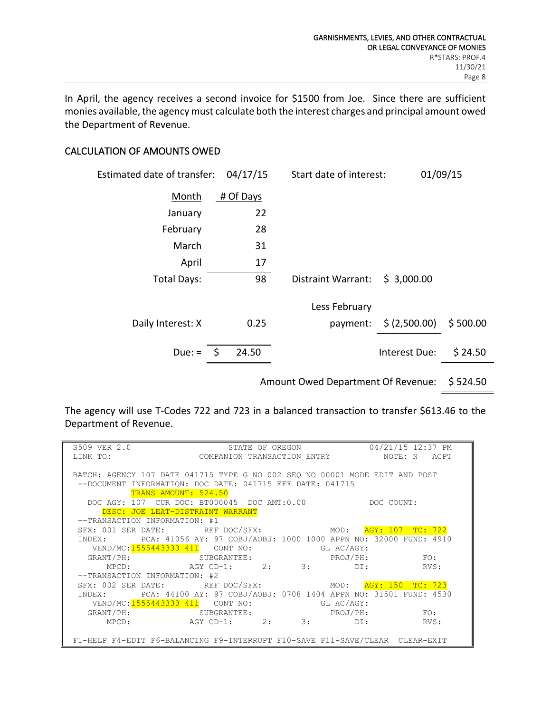In April, the agency receives a second invoice for \$1500 from Joe. Since there are sufficient monies available, the agency must calculate both the interest charges and principal amount owed the Department of Revenue.

## CALCULATION OF AMOUNTS OWED

| Estimated date of transfer: | 04/17/15  | Start date of interest:   |                                   | 01/09/15 |
|-----------------------------|-----------|---------------------------|-----------------------------------|----------|
| Month                       | # Of Days |                           |                                   |          |
| January                     | 22        |                           |                                   |          |
| February                    | 28        |                           |                                   |          |
| March                       | 31        |                           |                                   |          |
| April                       | 17        |                           |                                   |          |
| Total Days:                 | 98        | <b>Distraint Warrant:</b> | \$3,000.00                        |          |
|                             |           | Less February             |                                   |          |
| Daily Interest: X           | 0.25      |                           | payment: $\frac{1}{2}$ (2,500.00) | \$500.00 |
| Due: $=$ \$                 | 24.50     |                           | Interest Due:                     | \$24.50  |
|                             |           |                           |                                   |          |

Amount Owed Department Of Revenue: \$ 524.50

The agency will use T-Codes 722 and 723 in a balanced transaction to transfer \$613.46 to the Department of Revenue.

| S509 VER 2.0                                                      | STATE OF OREGON 04/21/15 12:37 PM                                            |                     |
|-------------------------------------------------------------------|------------------------------------------------------------------------------|---------------------|
| LINK TO:                                                          | COMPANION TRANSACTION ENTRY                                                  | NOTE: N<br>ACPT     |
|                                                                   |                                                                              |                     |
|                                                                   | BATCH: AGENCY 107 DATE 041715 TYPE G NO 002 SEQ NO 00001 MODE EDIT AND POST  |                     |
| $--$ DOCUMENT                                                     | INFORMATION: DOC DATE: 041715 EFF DATE: 041715                               |                     |
| TRANS AMOUNT: 524.50                                              |                                                                              |                     |
|                                                                   | DOC AGY: 107 CUR DOC: BT000045 DOC AMT:0.00                                  | DOC COUNT:          |
| DESC: JOE LEAT-DISTRAINT WARRANT<br>--TRANSACTION INFORMATION: #1 |                                                                              |                     |
|                                                                   | SFX: 001 SER DATE: REF DOC/SFX: MOD: AGY: 107 TC: 722                        |                     |
| INDEX:                                                            | PCA: 41056 AY: 97 COBJ/AOBJ: 1000 1000 APPN NO: 32000 FUND: 4910             |                     |
| VEND/MC: 1555443333 411 CONT NO:                                  | GL AC/AGY:                                                                   |                     |
|                                                                   | GRANT/PH: SUBGRANTEE: PROJ/PH:                                               | FO:                 |
| MPCD: AGY CD-1:                                                   |                                                                              | RVS:                |
| --TRANSACTION INFORMATION: #2                                     |                                                                              |                     |
|                                                                   | SFX: 002 SER DATE: REF DOC/SFX: MOD:                                         | AGY: 150<br>TC: 723 |
|                                                                   | INDEX: PCA: 44100 AY: 97 COBJ/AOBJ: 0708 1404 APPN NO: 31501 FUND: 4530      |                     |
| VEND/MC: 1555443333 411 CONT NO:                                  | GL AC/AGY:                                                                   |                     |
|                                                                   | GRANT/PH: SUBGRANTEE: PROJ/PH:                                               | FO:                 |
|                                                                   | $MPCD: AGY CD-1: 2: 3:$                                                      | DI:<br>RVS:         |
|                                                                   |                                                                              |                     |
|                                                                   | F1-HELP F4-EDIT F6-BALANCING F9-INTERRUPT F10-SAVE F11-SAVE/CLEAR CLEAR-EXIT |                     |